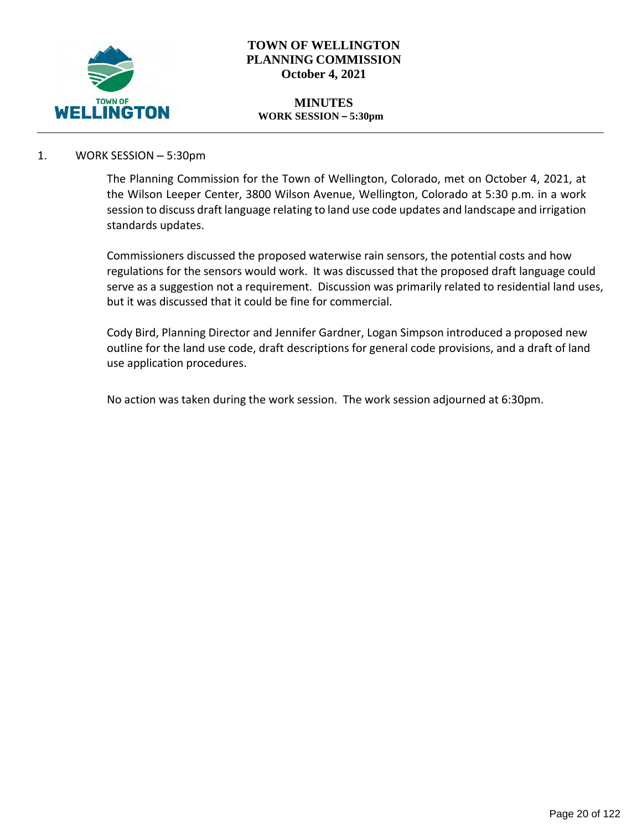

## **TOWN OF WELLINGTON PLANNING COMMISSION October 4, 2021**

#### **MINUTES WORK SESSION – 5:30pm**

## 1. WORK SESSION – 5:30pm

The Planning Commission for the Town of Wellington, Colorado, met on October 4, 2021, at the Wilson Leeper Center, 3800 Wilson Avenue, Wellington, Colorado at 5:30 p.m. in a work session to discuss draft language relating to land use code updates and landscape and irrigation standards updates.

Commissioners discussed the proposed waterwise rain sensors, the potential costs and how regulations for the sensors would work. It was discussed that the proposed draft language could serve as a suggestion not a requirement. Discussion was primarily related to residential land uses, but it was discussed that it could be fine for commercial.

Cody Bird, Planning Director and Jennifer Gardner, Logan Simpson introduced a proposed new outline for the land use code, draft descriptions for general code provisions, and a draft of land use application procedures.

No action was taken during the work session. The work session adjourned at 6:30pm.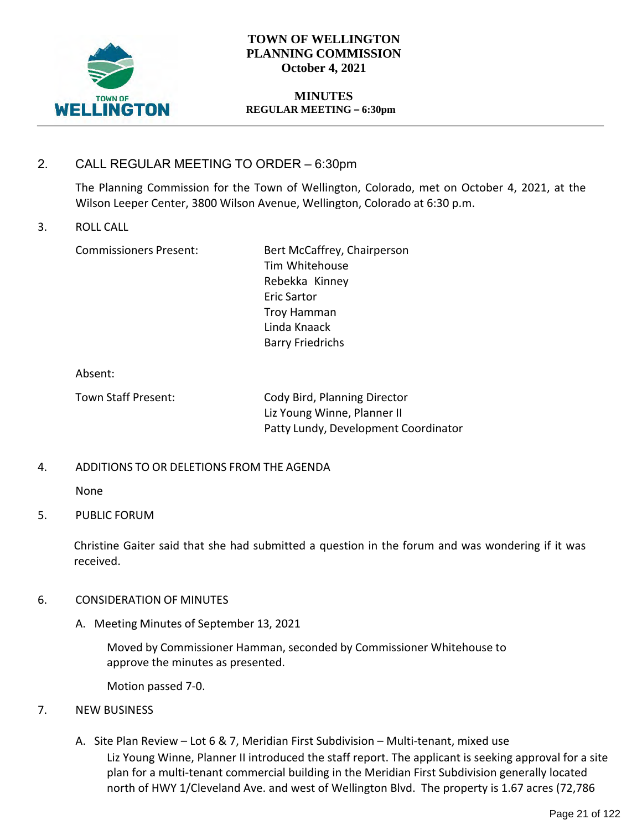

# **TOWN OF WELLINGTON PLANNING COMMISSION October 4, 2021**

#### **MINUTES REGULAR MEETING – 6:30pm**

# 2. CALL REGULAR MEETING TO ORDER – 6:30pm

The Planning Commission for the Town of Wellington, Colorado, met on October 4, 2021, at the Wilson Leeper Center, 3800 Wilson Avenue, Wellington, Colorado at 6:30 p.m.

#### 3. ROLL CALL

Commissioners Present: Bert McCaffrey, Chairperson Tim Whitehouse Rebekka Kinney Eric Sartor Troy Hamman Linda Knaack Barry Friedrichs

Absent:

Town Staff Present: Cody Bird, Planning Director Liz Young Winne, Planner II Patty Lundy, Development Coordinator

## 4. ADDITIONS TO OR DELETIONS FROM THE AGENDA

None

## 5. PUBLIC FORUM

Christine Gaiter said that she had submitted a question in the forum and was wondering if it was received.

## 6. CONSIDERATION OF MINUTES

A. Meeting Minutes of September 13, 2021

Moved by Commissioner Hamman, seconded by Commissioner Whitehouse to approve the minutes as presented.

Motion passed 7-0.

- 7. NEW BUSINESS
	- A. Site Plan Review Lot 6 & 7, Meridian First Subdivision Multi-tenant, mixed use Liz Young Winne, Planner II introduced the staff report. The applicant is seeking approval for a site plan for a multi-tenant commercial building in the Meridian First Subdivision generally located north of HWY 1/Cleveland Ave. and west of Wellington Blvd. The property is 1.67 acres (72,786